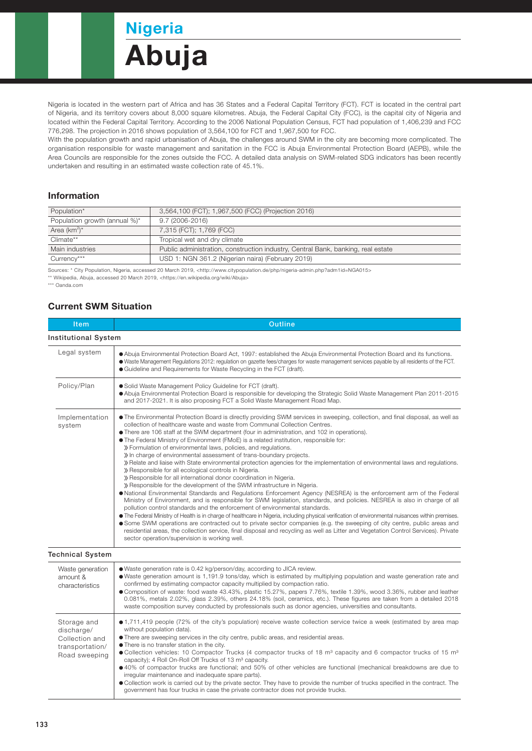# Nigeria Abuja

Nigeria is located in the western part of Africa and has 36 States and a Federal Capital Territory (FCT). FCT is located in the central part of Nigeria, and its territory covers about 8,000 square kilometres. Abuja, the Federal Capital City (FCC), is the capital city of Nigeria and located within the Federal Capital Territory. According to the 2006 National Population Census, FCT had population of 1,406,239 and FCC 776,298. The projection in 2016 shows population of 3,564,100 for FCT and 1,967,500 for FCC.

With the population growth and rapid urbanisation of Abuja, the challenges around SWM in the city are becoming more complicated. The organisation responsible for waste management and sanitation in the FCC is Abuja Environmental Protection Board (AEPB), while the Area Councils are responsible for the zones outside the FCC. A detailed data analysis on SWM-related SDG indicators has been recently undertaken and resulting in an estimated waste collection rate of 45.1%.

#### Information

| Population*                   | 3,564,100 (FCT); 1,967,500 (FCC) (Projection 2016)                               |  |
|-------------------------------|----------------------------------------------------------------------------------|--|
| Population growth (annual %)* | 9.7 (2006-2016)                                                                  |  |
| Area $(km^2)^*$               | 7,315 (FCT); 1,769 (FCC)                                                         |  |
| Climate**                     | Tropical wet and dry climate                                                     |  |
| Main industries               | Public administration, construction industry, Central Bank, banking, real estate |  |
| Currency***                   | USD 1: NGN 361.2 (Nigerian naira) (February 2019)                                |  |

Sources: \* City Population, Nigeria, accessed 20 March 2019, <http://www.citypopulation.de/php/nigeria-admin.php?adm1id=NGA015>

\*\* Wikipedia, Abuja, accessed 20 March 2019, <https://en.wikipedia.org/wiki/Abuja>

\*\*\* Oanda.com

## Current SWM Situation

| <b>Item</b>                                     | Outline                                                                                                                                                                                                                                                                                                                                                                                                                                                                                                                                                                                                                                                                                                                                                                                                                                                                                                                                                                                                                                                                                                                                                                                                                                                                                                                                                                                                                                                                                                                                                                                                                                                                                                     |  |  |  |
|-------------------------------------------------|-------------------------------------------------------------------------------------------------------------------------------------------------------------------------------------------------------------------------------------------------------------------------------------------------------------------------------------------------------------------------------------------------------------------------------------------------------------------------------------------------------------------------------------------------------------------------------------------------------------------------------------------------------------------------------------------------------------------------------------------------------------------------------------------------------------------------------------------------------------------------------------------------------------------------------------------------------------------------------------------------------------------------------------------------------------------------------------------------------------------------------------------------------------------------------------------------------------------------------------------------------------------------------------------------------------------------------------------------------------------------------------------------------------------------------------------------------------------------------------------------------------------------------------------------------------------------------------------------------------------------------------------------------------------------------------------------------------|--|--|--|
| <b>Institutional System</b>                     |                                                                                                                                                                                                                                                                                                                                                                                                                                                                                                                                                                                                                                                                                                                                                                                                                                                                                                                                                                                                                                                                                                                                                                                                                                                                                                                                                                                                                                                                                                                                                                                                                                                                                                             |  |  |  |
| Legal system                                    | • Abuja Environmental Protection Board Act, 1997: established the Abuja Environmental Protection Board and its functions.<br>· Waste Management Regulations 2012: regulation on gazette fees/charges for waste management services payable by all residents of the FCT.<br>• Guideline and Requirements for Waste Recycling in the FCT (draft).                                                                                                                                                                                                                                                                                                                                                                                                                                                                                                                                                                                                                                                                                                                                                                                                                                                                                                                                                                                                                                                                                                                                                                                                                                                                                                                                                             |  |  |  |
| Policy/Plan                                     | · Solid Waste Management Policy Guideline for FCT (draft).<br>• Abuja Environmental Protection Board is responsible for developing the Strategic Solid Waste Management Plan 2011-2015<br>and 2017-2021. It is also proposing FCT a Solid Waste Management Road Map.                                                                                                                                                                                                                                                                                                                                                                                                                                                                                                                                                                                                                                                                                                                                                                                                                                                                                                                                                                                                                                                                                                                                                                                                                                                                                                                                                                                                                                        |  |  |  |
| Implementation<br>system                        | . The Environmental Protection Board is directly providing SWM services in sweeping, collection, and final disposal, as well as<br>collection of healthcare waste and waste from Communal Collection Centres.<br>• There are 106 staff at the SWM department (four in administration, and 102 in operations).<br>• The Federal Ministry of Environment (FMoE) is a related institution, responsible for:<br>» Formulation of environmental laws, policies, and regulations.<br>» In charge of environmental assessment of trans-boundary projects.<br>» Relate and liaise with State environmental protection agencies for the implementation of environmental laws and regulations.<br>» Responsible for all ecological controls in Nigeria.<br>» Responsible for all international donor coordination in Nigeria.<br>» Responsible for the development of the SWM infrastructure in Nigeria.<br>• National Environmental Standards and Requlations Enforcement Agency (NESREA) is the enforcement arm of the Federal<br>Ministry of Environment, and is responsible for SWM legislation, standards, and policies. NESREA is also in charge of all<br>pollution control standards and the enforcement of environmental standards.<br>• The Federal Ministry of Health is in charge of healthcare in Nigeria, including physical verification of environmental nuisances within premises.<br>Some SWM operations are contracted out to private sector companies (e.g. the sweeping of city centre, public areas and<br>residential areas, the collection service, final disposal and recycling as well as Litter and Vegetation Control Services). Private<br>sector operation/supervision is working well. |  |  |  |
| <b>Technical System</b>                         |                                                                                                                                                                                                                                                                                                                                                                                                                                                                                                                                                                                                                                                                                                                                                                                                                                                                                                                                                                                                                                                                                                                                                                                                                                                                                                                                                                                                                                                                                                                                                                                                                                                                                                             |  |  |  |
| Waste generation<br>amount &<br>characteristics | . Waste generation rate is 0.42 kg/person/day, according to JICA review.<br>• Waste generation amount is 1,191.9 tons/day, which is estimated by multiplying population and waste generation rate and<br>confirmed by estimating compactor capacity multiplied by compaction ratio.<br>● Composition of waste: food waste 43.43%, plastic 15.27%, papers 7.76%, textile 1.39%, wood 3.36%, rubber and leather<br>0.081%, metals 2.02%, glass 2.39%, others 24.18% (soil, ceramics, etc.). These figures are taken from a detailed 2018                                                                                                                                                                                                                                                                                                                                                                                                                                                                                                                                                                                                                                                                                                                                                                                                                                                                                                                                                                                                                                                                                                                                                                      |  |  |  |

waste composition survey conducted by professionals such as donor agencies, universities and consultants. 1,711,419 people (72% of the city's population) receive waste collection service twice a week (estimated by area map without population data). Storage and discharge/

There are sweeping services in the city centre, public areas, and residential areas. Collection and

There is no transfer station in the city. transportation/

● Collection vehicles: 10 Compactor Trucks (4 compactor trucks of 18 m<sup>3</sup> capacity and 6 compactor trucks of 15 m<sup>3</sup> capacity); 4 Roll On-Roll Off Trucks of 13 m<sup>3</sup> capacity. Road sweeping

40% of compactor trucks are functional; and 50% of other vehicles are functional (mechanical breakdowns are due to irregular maintenance and inadequate spare parts).

Collection work is carried out by the private sector. They have to provide the number of trucks specified in the contract. The government has four trucks in case the private contractor does not provide trucks.